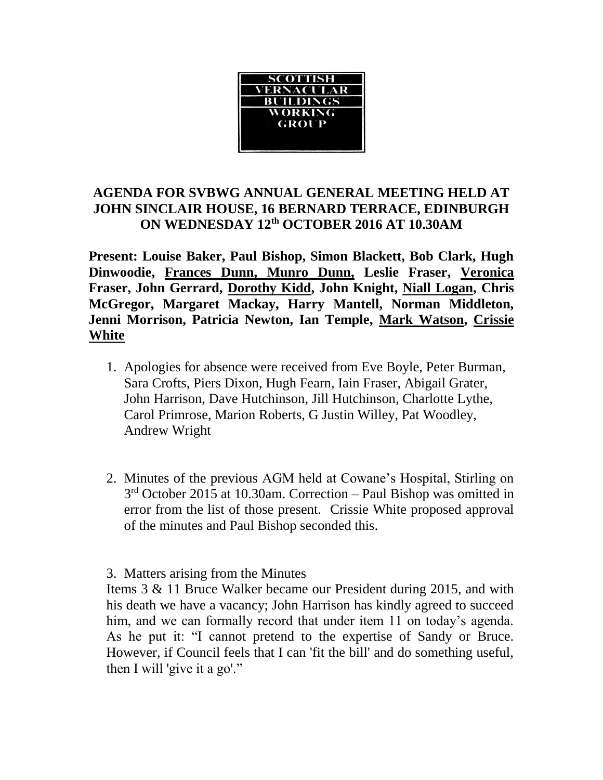

## **AGENDA FOR SVBWG ANNUAL GENERAL MEETING HELD AT JOHN SINCLAIR HOUSE, 16 BERNARD TERRACE, EDINBURGH ON WEDNESDAY 12th OCTOBER 2016 AT 10.30AM**

**Present: Louise Baker, Paul Bishop, Simon Blackett, Bob Clark, Hugh Dinwoodie, Frances Dunn, Munro Dunn, Leslie Fraser, Veronica Fraser, John Gerrard, Dorothy Kidd, John Knight, Niall Logan, Chris McGregor, Margaret Mackay, Harry Mantell, Norman Middleton, Jenni Morrison, Patricia Newton, Ian Temple, Mark Watson, Crissie White**

- 1. Apologies for absence were received from Eve Boyle, Peter Burman, Sara Crofts, Piers Dixon, Hugh Fearn, Iain Fraser, Abigail Grater, John Harrison, Dave Hutchinson, Jill Hutchinson, Charlotte Lythe, Carol Primrose, Marion Roberts, G Justin Willey, Pat Woodley, Andrew Wright
- 2. Minutes of the previous AGM held at Cowane's Hospital, Stirling on 3<sup>rd</sup> October 2015 at 10.30am. Correction – Paul Bishop was omitted in error from the list of those present. Crissie White proposed approval of the minutes and Paul Bishop seconded this.

3. Matters arising from the Minutes

Items 3 & 11 Bruce Walker became our President during 2015, and with his death we have a vacancy; John Harrison has kindly agreed to succeed him, and we can formally record that under item 11 on today's agenda. As he put it: "I cannot pretend to the expertise of Sandy or Bruce. However, if Council feels that I can 'fit the bill' and do something useful, then I will 'give it a go'."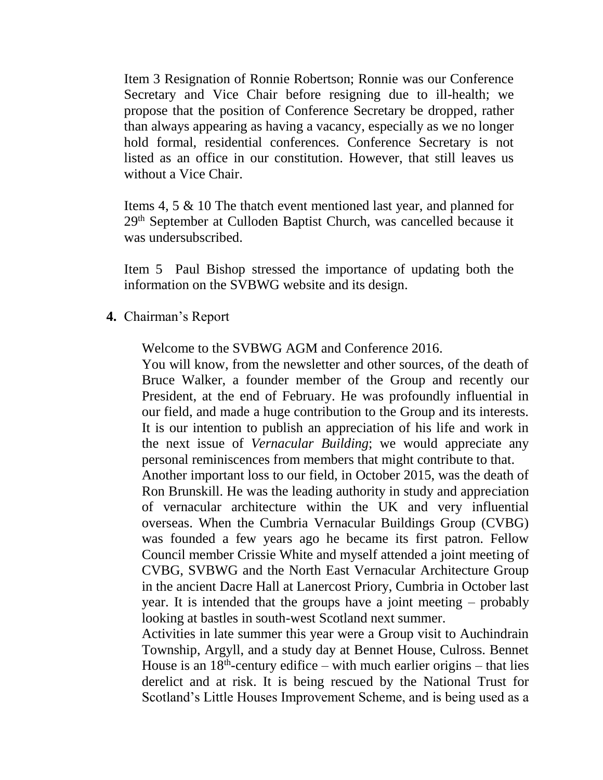Item 3 Resignation of Ronnie Robertson; Ronnie was our Conference Secretary and Vice Chair before resigning due to ill-health; we propose that the position of Conference Secretary be dropped, rather than always appearing as having a vacancy, especially as we no longer hold formal, residential conferences. Conference Secretary is not listed as an office in our constitution. However, that still leaves us without a Vice Chair.

Items 4, 5 & 10 The thatch event mentioned last year, and planned for 29th September at Culloden Baptist Church, was cancelled because it was undersubscribed.

Item 5 Paul Bishop stressed the importance of updating both the information on the SVBWG website and its design.

**4.** Chairman's Report

Welcome to the SVBWG AGM and Conference 2016.

You will know, from the newsletter and other sources, of the death of Bruce Walker, a founder member of the Group and recently our President, at the end of February. He was profoundly influential in our field, and made a huge contribution to the Group and its interests. It is our intention to publish an appreciation of his life and work in the next issue of *Vernacular Building*; we would appreciate any personal reminiscences from members that might contribute to that. Another important loss to our field, in October 2015, was the death of Ron Brunskill. He was the leading authority in study and appreciation of vernacular architecture within the UK and very influential overseas. When the Cumbria Vernacular Buildings Group (CVBG) was founded a few years ago he became its first patron. Fellow Council member Crissie White and myself attended a joint meeting of CVBG, SVBWG and the North East Vernacular Architecture Group in the ancient Dacre Hall at Lanercost Priory, Cumbria in October last year. It is intended that the groups have a joint meeting – probably

Activities in late summer this year were a Group visit to Auchindrain Township, Argyll, and a study day at Bennet House, Culross. Bennet House is an  $18<sup>th</sup>$ -century edifice – with much earlier origins – that lies derelict and at risk. It is being rescued by the National Trust for Scotland's Little Houses Improvement Scheme, and is being used as a

looking at bastles in south-west Scotland next summer.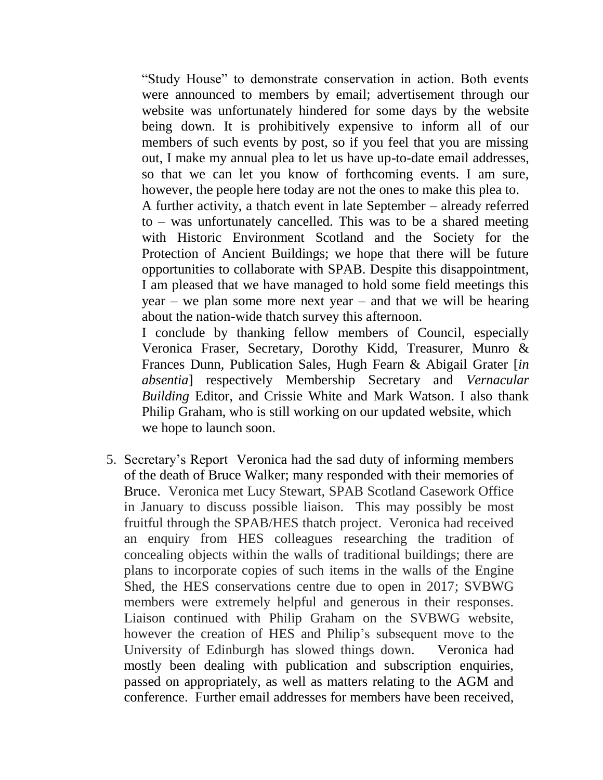"Study House" to demonstrate conservation in action. Both events were announced to members by email; advertisement through our website was unfortunately hindered for some days by the website being down. It is prohibitively expensive to inform all of our members of such events by post, so if you feel that you are missing out, I make my annual plea to let us have up-to-date email addresses, so that we can let you know of forthcoming events. I am sure, however, the people here today are not the ones to make this plea to.

A further activity, a thatch event in late September – already referred to – was unfortunately cancelled. This was to be a shared meeting with Historic Environment Scotland and the Society for the Protection of Ancient Buildings; we hope that there will be future opportunities to collaborate with SPAB. Despite this disappointment, I am pleased that we have managed to hold some field meetings this year – we plan some more next year – and that we will be hearing about the nation-wide thatch survey this afternoon.

I conclude by thanking fellow members of Council, especially Veronica Fraser, Secretary, Dorothy Kidd, Treasurer, Munro & Frances Dunn, Publication Sales, Hugh Fearn & Abigail Grater [*in absentia*] respectively Membership Secretary and *Vernacular Building* Editor, and Crissie White and Mark Watson. I also thank Philip Graham, who is still working on our updated website, which we hope to launch soon.

5. Secretary's Report Veronica had the sad duty of informing members of the death of Bruce Walker; many responded with their memories of Bruce. Veronica met Lucy Stewart, SPAB Scotland Casework Office in January to discuss possible liaison. This may possibly be most fruitful through the SPAB/HES thatch project. Veronica had received an enquiry from HES colleagues researching the tradition of concealing objects within the walls of traditional buildings; there are plans to incorporate copies of such items in the walls of the Engine Shed, the HES conservations centre due to open in 2017; SVBWG members were extremely helpful and generous in their responses. Liaison continued with Philip Graham on the SVBWG website, however the creation of HES and Philip's subsequent move to the University of Edinburgh has slowed things down. Veronica had mostly been dealing with publication and subscription enquiries, passed on appropriately, as well as matters relating to the AGM and conference. Further email addresses for members have been received,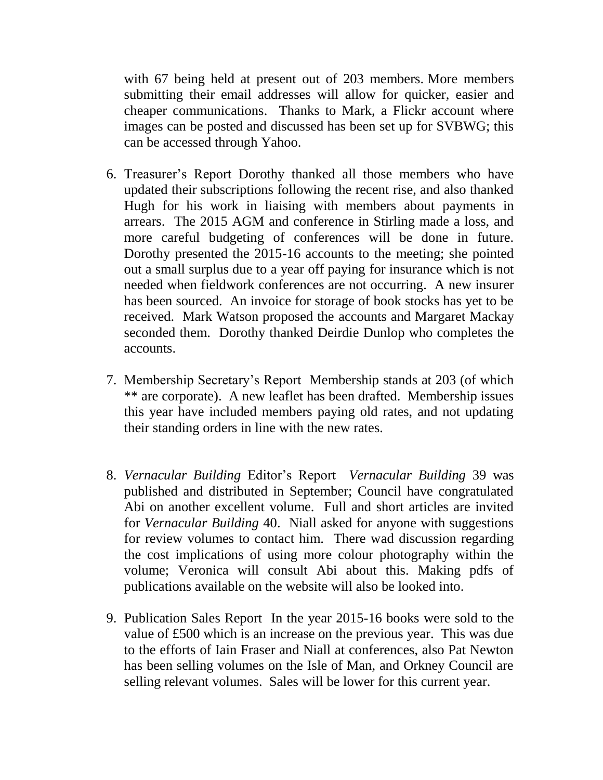with 67 being held at present out of 203 members. More members submitting their email addresses will allow for quicker, easier and cheaper communications. Thanks to Mark, a Flickr account where images can be posted and discussed has been set up for SVBWG; this can be accessed through Yahoo.

- 6. Treasurer's Report Dorothy thanked all those members who have updated their subscriptions following the recent rise, and also thanked Hugh for his work in liaising with members about payments in arrears. The 2015 AGM and conference in Stirling made a loss, and more careful budgeting of conferences will be done in future. Dorothy presented the 2015-16 accounts to the meeting; she pointed out a small surplus due to a year off paying for insurance which is not needed when fieldwork conferences are not occurring. A new insurer has been sourced. An invoice for storage of book stocks has yet to be received. Mark Watson proposed the accounts and Margaret Mackay seconded them. Dorothy thanked Deirdie Dunlop who completes the accounts.
- 7. Membership Secretary's Report Membership stands at 203 (of which \*\* are corporate). A new leaflet has been drafted. Membership issues this year have included members paying old rates, and not updating their standing orders in line with the new rates.
- 8. *Vernacular Building* Editor's Report *Vernacular Building* 39 was published and distributed in September; Council have congratulated Abi on another excellent volume. Full and short articles are invited for *Vernacular Building* 40. Niall asked for anyone with suggestions for review volumes to contact him. There wad discussion regarding the cost implications of using more colour photography within the volume; Veronica will consult Abi about this. Making pdfs of publications available on the website will also be looked into.
- 9. Publication Sales Report In the year 2015-16 books were sold to the value of £500 which is an increase on the previous year. This was due to the efforts of Iain Fraser and Niall at conferences, also Pat Newton has been selling volumes on the Isle of Man, and Orkney Council are selling relevant volumes. Sales will be lower for this current year.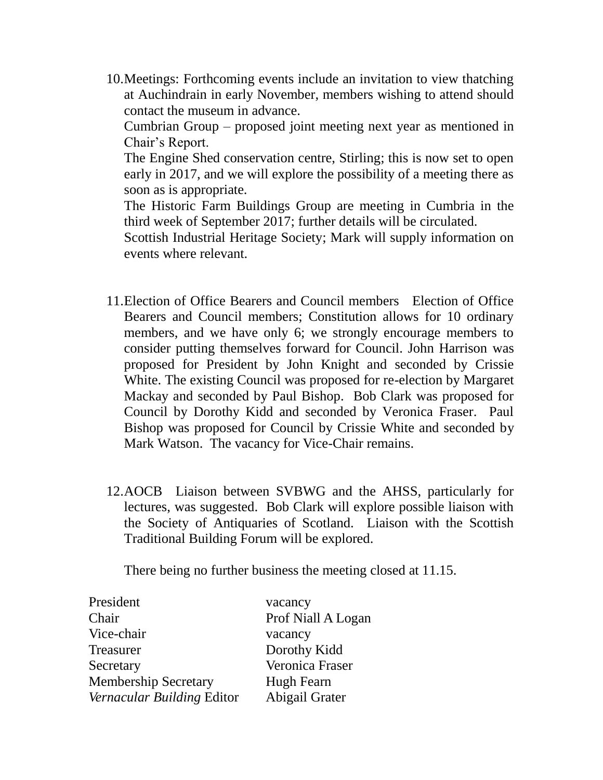10.Meetings: Forthcoming events include an invitation to view thatching at Auchindrain in early November, members wishing to attend should contact the museum in advance.

Cumbrian Group – proposed joint meeting next year as mentioned in Chair's Report.

The Engine Shed conservation centre, Stirling; this is now set to open early in 2017, and we will explore the possibility of a meeting there as soon as is appropriate.

The Historic Farm Buildings Group are meeting in Cumbria in the third week of September 2017; further details will be circulated.

Scottish Industrial Heritage Society; Mark will supply information on events where relevant.

- 11.Election of Office Bearers and Council members Election of Office Bearers and Council members; Constitution allows for 10 ordinary members, and we have only 6; we strongly encourage members to consider putting themselves forward for Council. John Harrison was proposed for President by John Knight and seconded by Crissie White. The existing Council was proposed for re-election by Margaret Mackay and seconded by Paul Bishop. Bob Clark was proposed for Council by Dorothy Kidd and seconded by Veronica Fraser. Paul Bishop was proposed for Council by Crissie White and seconded by Mark Watson. The vacancy for Vice-Chair remains.
- 12.AOCB Liaison between SVBWG and the AHSS, particularly for lectures, was suggested. Bob Clark will explore possible liaison with the Society of Antiquaries of Scotland. Liaison with the Scottish Traditional Building Forum will be explored.

There being no further business the meeting closed at 11.15.

| President                   | vacancy            |
|-----------------------------|--------------------|
| Chair                       | Prof Niall A Logan |
| Vice-chair                  | vacancy            |
| Treasurer                   | Dorothy Kidd       |
| Secretary                   | Veronica Fraser    |
| <b>Membership Secretary</b> | Hugh Fearn         |
| Vernacular Building Editor  | Abigail Grater     |